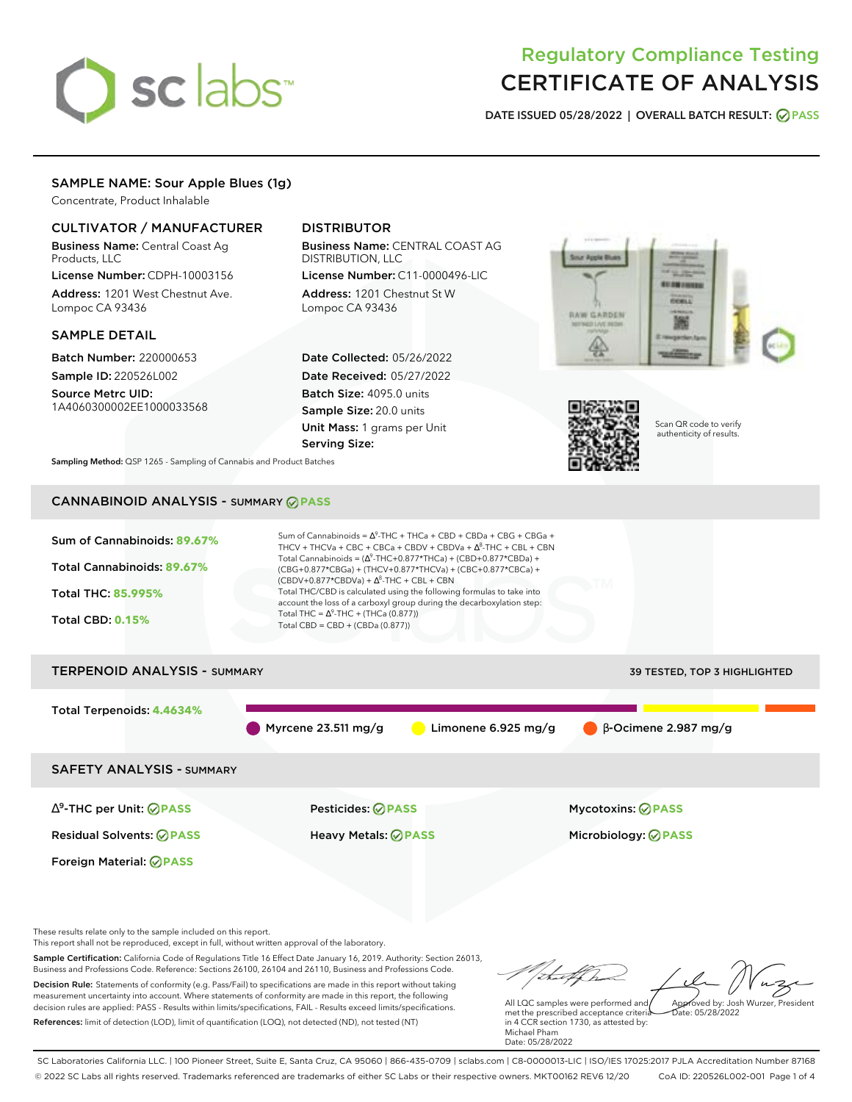# sclabs<sup>\*</sup>

# Regulatory Compliance Testing CERTIFICATE OF ANALYSIS

**DATE ISSUED 05/28/2022 | OVERALL BATCH RESULT: PASS**

# SAMPLE NAME: Sour Apple Blues (1g)

Concentrate, Product Inhalable

# CULTIVATOR / MANUFACTURER

Business Name: Central Coast Ag Products, LLC

License Number: CDPH-10003156 Address: 1201 West Chestnut Ave. Lompoc CA 93436

# SAMPLE DETAIL

Batch Number: 220000653 Sample ID: 220526L002

Source Metrc UID: 1A4060300002EE1000033568

# DISTRIBUTOR

Business Name: CENTRAL COAST AG DISTRIBUTION, LLC License Number: C11-0000496-LIC

Address: 1201 Chestnut St W Lompoc CA 93436

Date Collected: 05/26/2022 Date Received: 05/27/2022 Batch Size: 4095.0 units Sample Size: 20.0 units Unit Mass: 1 grams per Unit Serving Size:





Scan QR code to verify authenticity of results.

**Sampling Method:** QSP 1265 - Sampling of Cannabis and Product Batches

# CANNABINOID ANALYSIS - SUMMARY **PASS**



Sample Certification: California Code of Regulations Title 16 Effect Date January 16, 2019. Authority: Section 26013, Business and Professions Code. Reference: Sections 26100, 26104 and 26110, Business and Professions Code. Decision Rule: Statements of conformity (e.g. Pass/Fail) to specifications are made in this report without taking measurement uncertainty into account. Where statements of conformity are made in this report, the following decision rules are applied: PASS - Results within limits/specifications, FAIL - Results exceed limits/specifications.

References: limit of detection (LOD), limit of quantification (LOQ), not detected (ND), not tested (NT)

All LQC samples were performed and met the prescribed acceptance criteria in 4 CCR section 1730, as attested by: Michael Pham Approved by: Josh Wurzer, President  $hat: 05/28/2022$ 

Date: 05/28/2022

tu f Ch

SC Laboratories California LLC. | 100 Pioneer Street, Suite E, Santa Cruz, CA 95060 | 866-435-0709 | sclabs.com | C8-0000013-LIC | ISO/IES 17025:2017 PJLA Accreditation Number 87168 © 2022 SC Labs all rights reserved. Trademarks referenced are trademarks of either SC Labs or their respective owners. MKT00162 REV6 12/20 CoA ID: 220526L002-001 Page 1 of 4